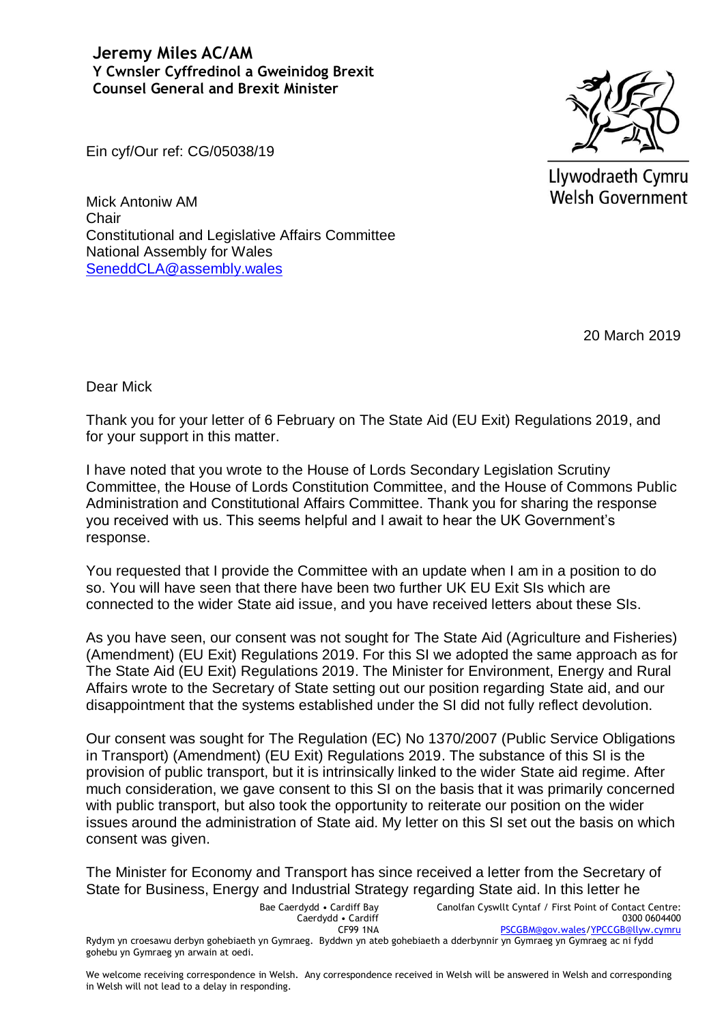**Jeremy Miles AC/AM Y Cwnsler Cyffredinol a Gweinidog Brexit Counsel General and Brexit Minister**



Llywodraeth Cymru Welsh Government

Ein cyf/Our ref: CG/05038/19

Mick Antoniw AM **Chair** Constitutional and Legislative Affairs Committee National Assembly for Wales [SeneddCLA@assembly.wales](mailto:SeneddCLA@assembly.wales)

20 March 2019

Dear Mick

Thank you for your letter of 6 February on The State Aid (EU Exit) Regulations 2019, and for your support in this matter.

I have noted that you wrote to the House of Lords Secondary Legislation Scrutiny Committee, the House of Lords Constitution Committee, and the House of Commons Public Administration and Constitutional Affairs Committee. Thank you for sharing the response you received with us. This seems helpful and I await to hear the UK Government's response.

You requested that I provide the Committee with an update when I am in a position to do so. You will have seen that there have been two further UK EU Exit SIs which are connected to the wider State aid issue, and you have received letters about these SIs.

As you have seen, our consent was not sought for The State Aid (Agriculture and Fisheries) (Amendment) (EU Exit) Regulations 2019. For this SI we adopted the same approach as for The State Aid (EU Exit) Regulations 2019. The Minister for Environment, Energy and Rural Affairs wrote to the Secretary of State setting out our position regarding State aid, and our disappointment that the systems established under the SI did not fully reflect devolution.

Our consent was sought for The Regulation (EC) No 1370/2007 (Public Service Obligations in Transport) (Amendment) (EU Exit) Regulations 2019. The substance of this SI is the provision of public transport, but it is intrinsically linked to the wider State aid regime. After much consideration, we gave consent to this SI on the basis that it was primarily concerned with public transport, but also took the opportunity to reiterate our position on the wider issues around the administration of State aid. My letter on this SI set out the basis on which consent was given.

The Minister for Economy and Transport has since received a letter from the Secretary of State for Business, Energy and Industrial Strategy regarding State aid. In this letter he

Bae Caerdydd • Cardiff Bay Caerdydd • Cardiff CF99 1NA Canolfan Cyswllt Cyntaf / First Point of Contact Centre: 0300 0604400 [PSCGBM@gov.wales](mailto:PSCGBM@gov.wales)[/YPCCGB@llyw.cymru](mailto:YPCCGB@llyw.cymru) Rydym yn croesawu derbyn gohebiaeth yn Gymraeg. Byddwn yn ateb gohebiaeth a dderbynnir yn Gymraeg yn Gymraeg ac ni fydd gohebu yn Gymraeg yn arwain at oedi.

We welcome receiving correspondence in Welsh. Any correspondence received in Welsh will be answered in Welsh and corresponding in Welsh will not lead to a delay in responding.